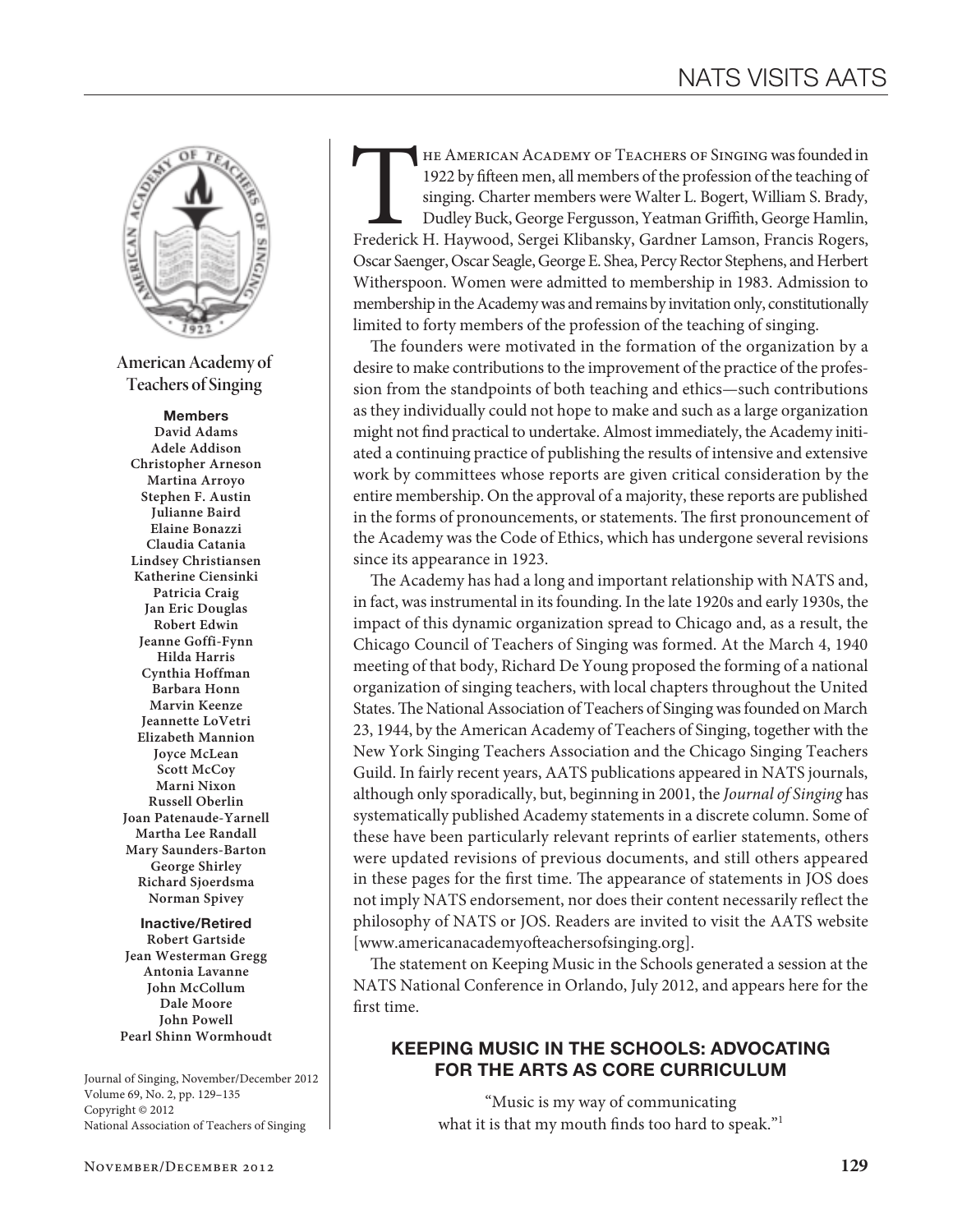

**American Academy of Teachers of Singing**

#### Members

**David Adams Adele Addison Christopher Arneson Martina Arroyo Stephen F. Austin Julianne Baird Elaine Bonazzi Claudia Catania Lindsey Christiansen Katherine Ciensinki Patricia Craig Jan Eric Douglas Robert Edwin Jeanne Goffi-Fynn Hilda Harris Cynthia Hoffman Barbara Honn Marvin Keenze Jeannette LoVetri Elizabeth Mannion Joyce McLean Scott McCoy Marni Nixon Russell Oberlin Joan Patenaude-Yarnell Martha Lee Randall Mary Saunders-Barton George Shirley Richard Sjoerdsma Norman Spivey**

Inactive/Retired **Robert Gartside Jean Westerman Gregg Antonia Lavanne John McCollum Dale Moore John Powell Pearl Shinn Wormhoudt**

Journal of Singing, November/December 2012 Volume 69, No. 2, pp. 129–135 Copyright © 2012 National Association of Teachers of Singing

HE AMERICAN ACADEMY OF TEACHERS OF SINGING was founded in 1922 by fifteen men, all members of the profession of the teaching of singing. Charter members were Walter L. Bogert, William S. Brady, Dudley Buck, George Fergusso 1922 by fifteen men, all members of the profession of the teaching of singing. Charter members were Walter L. Bogert, William S. Brady, Dudley Buck, George Fergusson, Yeatman Griffith, George Hamlin, Oscar Saenger, Oscar Seagle, George E. Shea, Percy Rector Stephens, and Herbert Witherspoon. Women were admitted to membership in 1983. Admission to membership in the Academy was and remains by invitation only, constitutionally limited to forty members of the profession of the teaching of singing.

The founders were motivated in the formation of the organization by a desire to make contributions to the improvement of the practice of the profession from the standpoints of both teaching and ethics—such contributions as they individually could not hope to make and such as a large organization might not find practical to undertake. Almost immediately, the Academy initiated a continuing practice of publishing the results of intensive and extensive work by committees whose reports are given critical consideration by the entire membership. On the approval of a majority, these reports are published in the forms of pronouncements, or statements. The first pronouncement of the Academy was the Code of Ethics, which has undergone several revisions since its appearance in 1923.

The Academy has had a long and important relationship with NATS and, in fact, was instrumental in its founding. In the late 1920s and early 1930s, the impact of this dynamic organization spread to Chicago and, as a result, the Chicago Council of Teachers of Singing was formed. At the March 4, 1940 meeting of that body, Richard De Young proposed the forming of a national organization of singing teachers, with local chapters throughout the United States. The National Association of Teachers of Singing was founded on March 23, 1944, by the American Academy of Teachers of Singing, together with the New York Singing Teachers Association and the Chicago Singing Teachers Guild. In fairly recent years, AATS publications appeared in NATS journals, although only sporadically, but, beginning in 2001, the *Journal of Singing* has systematically published Academy statements in a discrete column. Some of these have been particularly relevant reprints of earlier statements, others were updated revisions of previous documents, and still others appeared in these pages for the first time. The appearance of statements in JOS does not imply NATS endorsement, nor does their content necessarily reflect the philosophy of NATS or JOS. Readers are invited to visit the AATS website [www.americanacademyofteachersofsinging.org].

The statement on Keeping Music in the Schools generated a session at the NATS National Conference in Orlando, July 2012, and appears here for the first time.

# Keeping Music in the Schools: Advocating for the Arts as Core Curriculum

"Music is my way of communicating what it is that my mouth finds too hard to speak."<sup>1</sup>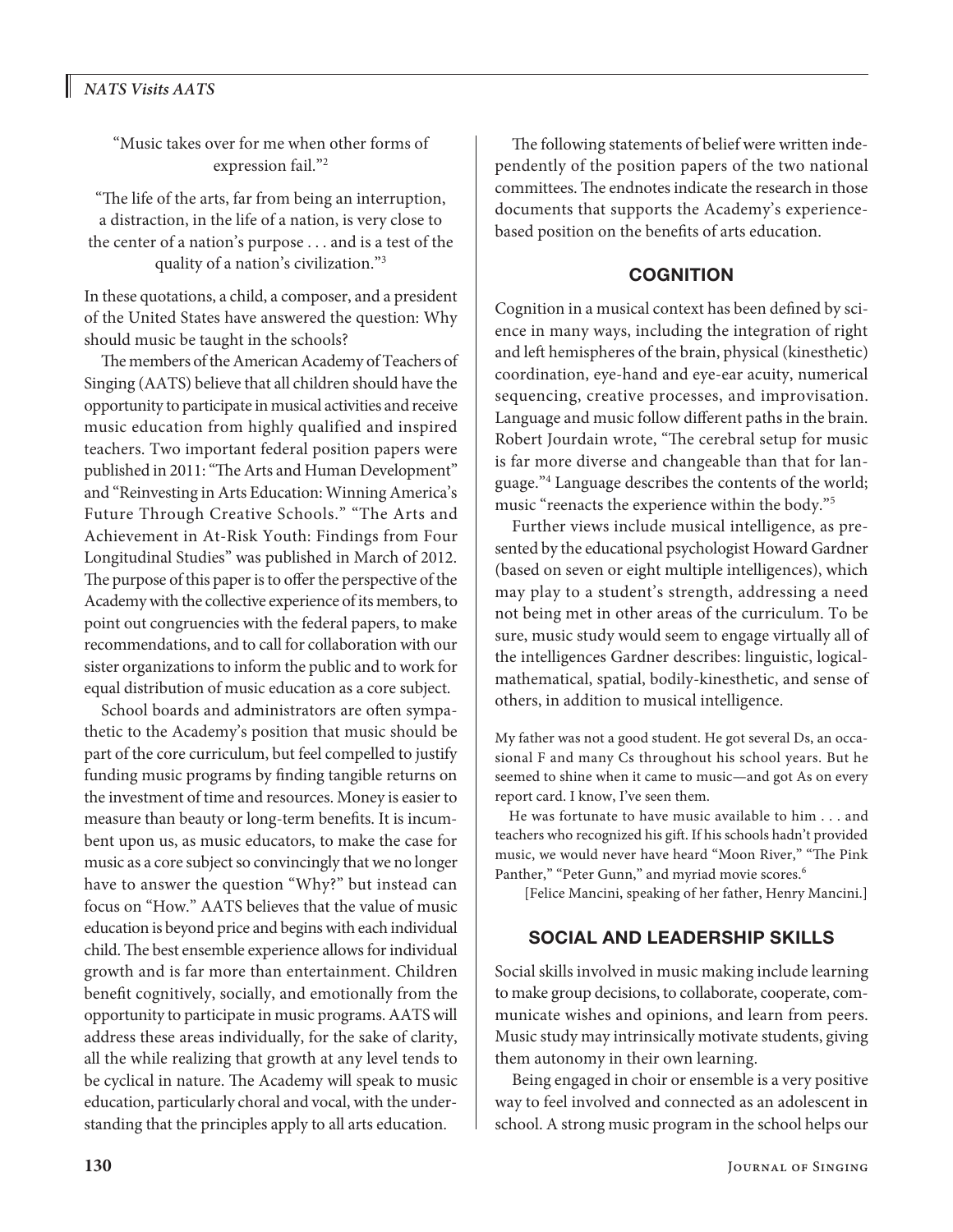# *NATS Visits AATS*

"Music takes over for me when other forms of expression fail."2

"The life of the arts, far from being an interruption, a distraction, in the life of a nation, is very close to the center of a nation's purpose . . . and is a test of the quality of a nation's civilization."3

In these quotations, a child, a composer, and a president of the United States have answered the question: Why should music be taught in the schools?

The members of the American Academy of Teachers of Singing (AATS) believe that all children should have the opportunity to participate in musical activities and receive music education from highly qualified and inspired teachers. Two important federal position papers were published in 2011: "The Arts and Human Development" and "Reinvesting in Arts Education: Winning America's Future Through Creative Schools." "The Arts and Achievement in At-Risk Youth: Findings from Four Longitudinal Studies" was published in March of 2012. The purpose of this paper is to offer the perspective of the Academy with the collective experience of its members, to point out congruencies with the federal papers, to make recommendations, and to call for collaboration with our sister organizations to inform the public and to work for equal distribution of music education as a core subject.

School boards and administrators are often sympathetic to the Academy's position that music should be part of the core curriculum, but feel compelled to justify funding music programs by finding tangible returns on the investment of time and resources. Money is easier to measure than beauty or long-term benefits. It is incumbent upon us, as music educators, to make the case for music as a core subject so convincingly that we no longer have to answer the question "Why?" but instead can focus on "How." AATS believes that the value of music education is beyond price and begins with each individual child. The best ensemble experience allows for individual growth and is far more than entertainment. Children benefit cognitively, socially, and emotionally from the opportunity to participate in music programs. AATS will address these areas individually, for the sake of clarity, all the while realizing that growth at any level tends to be cyclical in nature. The Academy will speak to music education, particularly choral and vocal, with the understanding that the principles apply to all arts education.

The following statements of belief were written independently of the position papers of the two national committees. The endnotes indicate the research in those documents that supports the Academy's experiencebased position on the benefits of arts education.

#### **COGNITION**

Cognition in a musical context has been defined by science in many ways, including the integration of right and left hemispheres of the brain, physical (kinesthetic) coordination, eye-hand and eye-ear acuity, numerical sequencing, creative processes, and improvisation. Language and music follow different paths in the brain. Robert Jourdain wrote, "The cerebral setup for music is far more diverse and changeable than that for language."4 Language describes the contents of the world; music "reenacts the experience within the body."5

Further views include musical intelligence, as presented by the educational psychologist Howard Gardner (based on seven or eight multiple intelligences), which may play to a student's strength, addressing a need not being met in other areas of the curriculum. To be sure, music study would seem to engage virtually all of the intelligences Gardner describes: linguistic, logicalmathematical, spatial, bodily-kinesthetic, and sense of others, in addition to musical intelligence.

My father was not a good student. He got several Ds, an occasional F and many Cs throughout his school years. But he seemed to shine when it came to music—and got As on every report card. I know, I've seen them.

He was fortunate to have music available to him . . . and teachers who recognized his gift. If his schools hadn't provided music, we would never have heard "Moon River," "The Pink Panther," "Peter Gunn," and myriad movie scores.<sup>6</sup>

[Felice Mancini, speaking of her father, Henry Mancini.]

### Social and Leadership Skills

Social skills involved in music making include learning to make group decisions, to collaborate, cooperate, communicate wishes and opinions, and learn from peers. Music study may intrinsically motivate students, giving them autonomy in their own learning.

Being engaged in choir or ensemble is a very positive way to feel involved and connected as an adolescent in school. A strong music program in the school helps our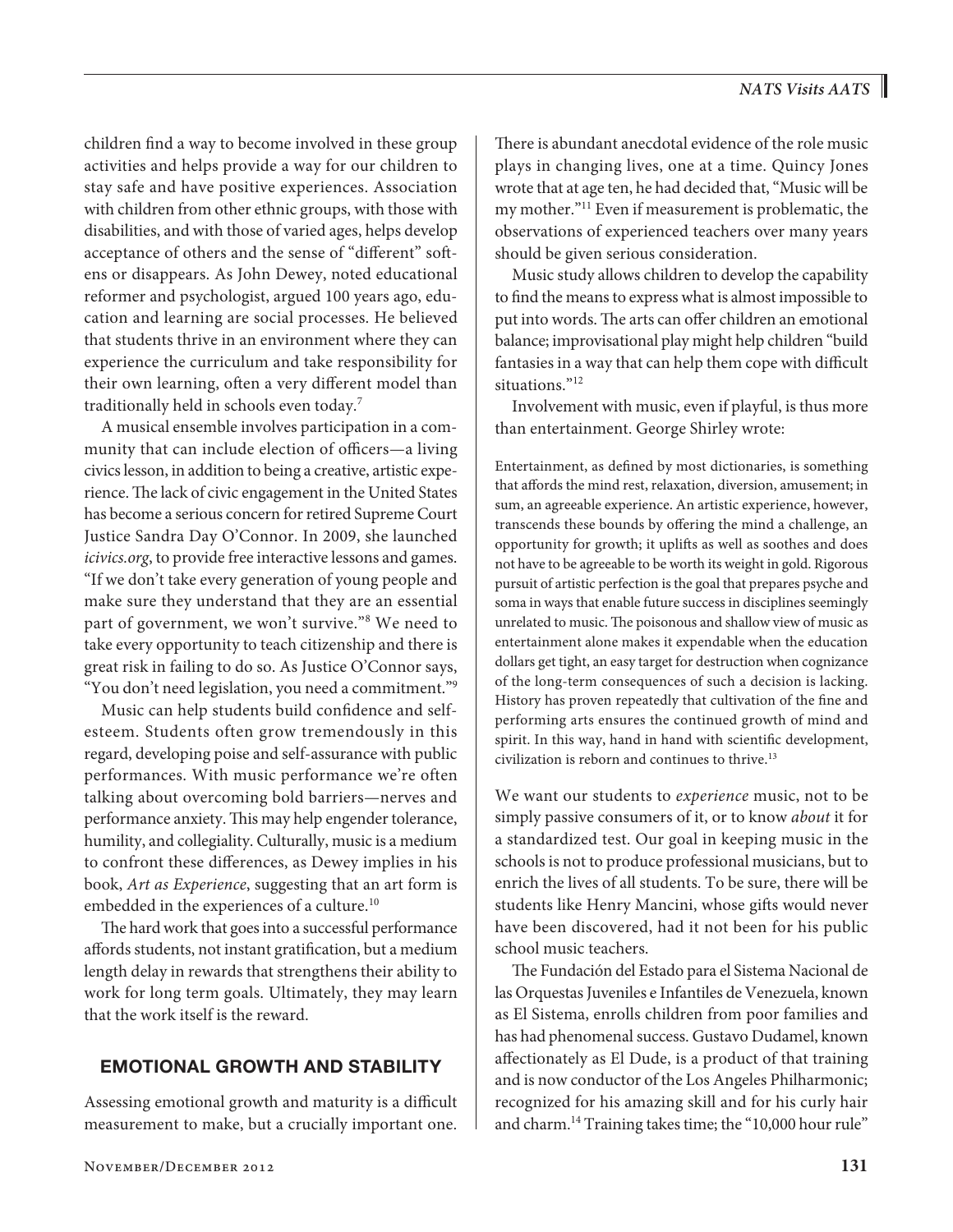children find a way to become involved in these group activities and helps provide a way for our children to stay safe and have positive experiences. Association with children from other ethnic groups, with those with disabilities, and with those of varied ages, helps develop acceptance of others and the sense of "different" softens or disappears. As John Dewey, noted educational reformer and psychologist, argued 100 years ago, education and learning are social processes. He believed that students thrive in an environment where they can experience the curriculum and take responsibility for their own learning, often a very different model than traditionally held in schools even today.7

A musical ensemble involves participation in a community that can include election of officers—a living civics lesson, in addition to being a creative, artistic experience. The lack of civic engagement in the United States has become a serious concern for retired Supreme Court Justice Sandra Day O'Connor. In 2009, she launched *icivics.org*, to provide free interactive lessons and games. "If we don't take every generation of young people and make sure they understand that they are an essential part of government, we won't survive."8 We need to take every opportunity to teach citizenship and there is great risk in failing to do so. As Justice O'Connor says, "You don't need legislation, you need a commitment."9

Music can help students build confidence and selfesteem. Students often grow tremendously in this regard, developing poise and self-assurance with public performances. With music performance we're often talking about overcoming bold barriers—nerves and performance anxiety. This may help engender tolerance, humility, and collegiality. Culturally, music is a medium to confront these differences, as Dewey implies in his book, *Art as Experience*, suggesting that an art form is embedded in the experiences of a culture.<sup>10</sup>

The hard work that goes into a successful performance affords students, not instant gratification, but a medium length delay in rewards that strengthens their ability to work for long term goals. Ultimately, they may learn that the work itself is the reward.

### Emotional Growth and Stability

Assessing emotional growth and maturity is a difficult measurement to make, but a crucially important one.

There is abundant anecdotal evidence of the role music plays in changing lives, one at a time. Quincy Jones wrote that at age ten, he had decided that, "Music will be my mother."11 Even if measurement is problematic, the observations of experienced teachers over many years should be given serious consideration.

Music study allows children to develop the capability to find the means to express what is almost impossible to put into words. The arts can offer children an emotional balance; improvisational play might help children "build fantasies in a way that can help them cope with difficult situations."<sup>12</sup>

Involvement with music, even if playful, is thus more than entertainment. George Shirley wrote:

Entertainment, as defined by most dictionaries, is something that affords the mind rest, relaxation, diversion, amusement; in sum, an agreeable experience. An artistic experience, however, transcends these bounds by offering the mind a challenge, an opportunity for growth; it uplifts as well as soothes and does not have to be agreeable to be worth its weight in gold. Rigorous pursuit of artistic perfection is the goal that prepares psyche and soma in ways that enable future success in disciplines seemingly unrelated to music. The poisonous and shallow view of music as entertainment alone makes it expendable when the education dollars get tight, an easy target for destruction when cognizance of the long-term consequences of such a decision is lacking. History has proven repeatedly that cultivation of the fine and performing arts ensures the continued growth of mind and spirit. In this way, hand in hand with scientific development, civilization is reborn and continues to thrive. $13$ 

We want our students to *experience* music, not to be simply passive consumers of it, or to know *about* it for a standardized test. Our goal in keeping music in the schools is not to produce professional musicians, but to enrich the lives of all students. To be sure, there will be students like Henry Mancini, whose gifts would never have been discovered, had it not been for his public school music teachers.

The Fundación del Estado para el Sistema Nacional de las Orquestas Juveniles e Infantiles de Venezuela, known as El Sistema, enrolls children from poor families and has had phenomenal success. Gustavo Dudamel, known affectionately as El Dude, is a product of that training and is now conductor of the Los Angeles Philharmonic; recognized for his amazing skill and for his curly hair and charm.<sup>14</sup> Training takes time; the "10,000 hour rule"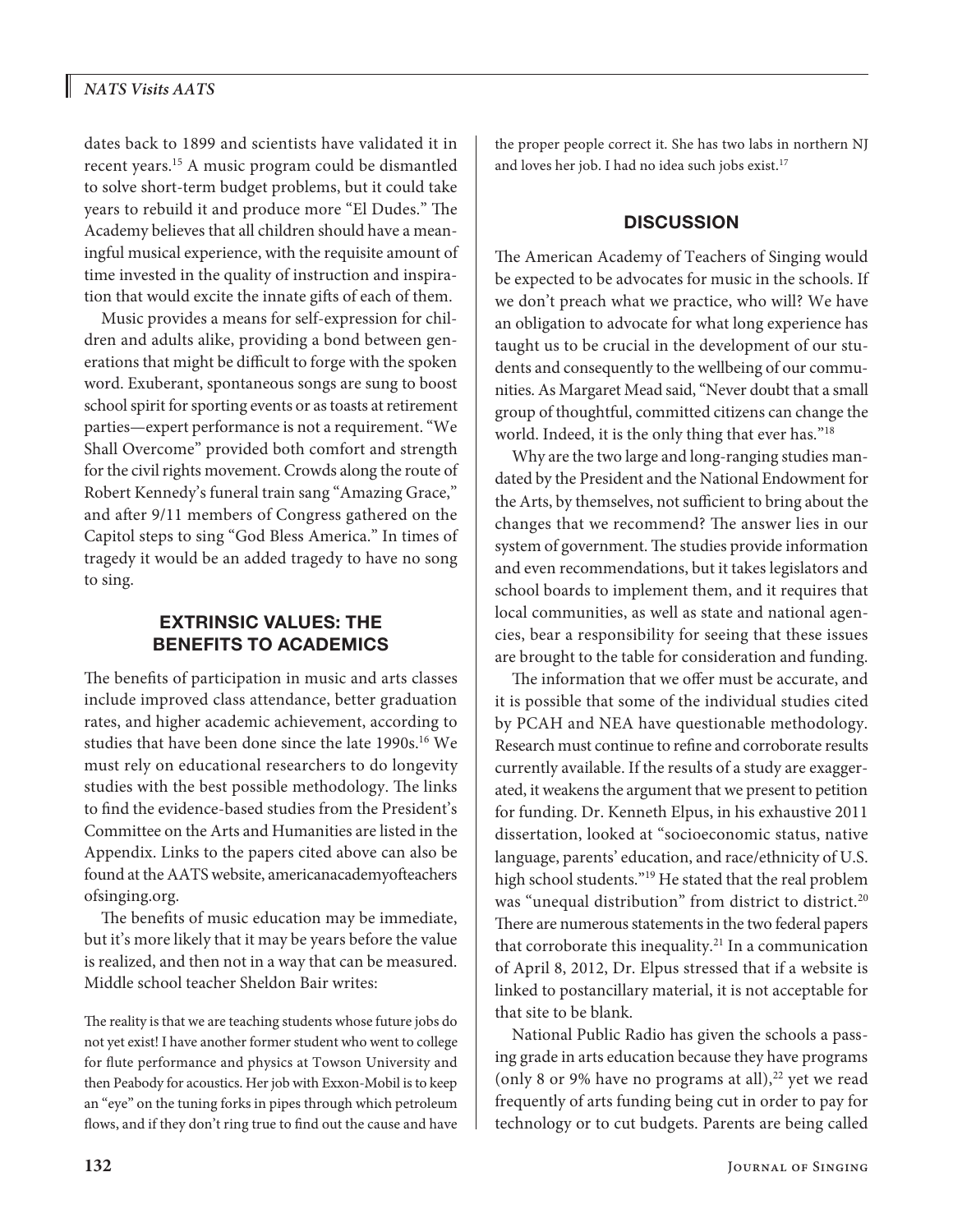dates back to 1899 and scientists have validated it in recent years.15 A music program could be dismantled to solve short-term budget problems, but it could take years to rebuild it and produce more "El Dudes." The Academy believes that all children should have a meaningful musical experience, with the requisite amount of time invested in the quality of instruction and inspiration that would excite the innate gifts of each of them.

Music provides a means for self-expression for children and adults alike, providing a bond between generations that might be difficult to forge with the spoken word. Exuberant, spontaneous songs are sung to boost school spirit for sporting events or as toasts at retirement parties—expert performance is not a requirement. "We Shall Overcome" provided both comfort and strength for the civil rights movement. Crowds along the route of Robert Kennedy's funeral train sang "Amazing Grace," and after 9/11 members of Congress gathered on the Capitol steps to sing "God Bless America." In times of tragedy it would be an added tragedy to have no song to sing.

# Extrinsic Values: The Benefits to Academics

The benefits of participation in music and arts classes include improved class attendance, better graduation rates, and higher academic achievement, according to studies that have been done since the late 1990s.<sup>16</sup> We must rely on educational researchers to do longevity studies with the best possible methodology. The links to find the evidence-based studies from the President's Committee on the Arts and Humanities are listed in the Appendix. Links to the papers cited above can also be found at the AATS website, americanacademyofteachers ofsinging.org.

The benefits of music education may be immediate, but it's more likely that it may be years before the value is realized, and then not in a way that can be measured. Middle school teacher Sheldon Bair writes:

The reality is that we are teaching students whose future jobs do not yet exist! I have another former student who went to college for flute performance and physics at Towson University and then Peabody for acoustics. Her job with Exxon-Mobil is to keep an "eye" on the tuning forks in pipes through which petroleum flows, and if they don't ring true to find out the cause and have the proper people correct it. She has two labs in northern NJ and loves her job. I had no idea such jobs exist.<sup>17</sup>

# **DISCUSSION**

The American Academy of Teachers of Singing would be expected to be advocates for music in the schools. If we don't preach what we practice, who will? We have an obligation to advocate for what long experience has taught us to be crucial in the development of our students and consequently to the wellbeing of our communities. As Margaret Mead said, "Never doubt that a small group of thoughtful, committed citizens can change the world. Indeed, it is the only thing that ever has."18

Why are the two large and long-ranging studies mandated by the President and the National Endowment for the Arts, by themselves, not sufficient to bring about the changes that we recommend? The answer lies in our system of government. The studies provide information and even recommendations, but it takes legislators and school boards to implement them, and it requires that local communities, as well as state and national agencies, bear a responsibility for seeing that these issues are brought to the table for consideration and funding.

The information that we offer must be accurate, and it is possible that some of the individual studies cited by PCAH and NEA have questionable methodology. Research must continue to refine and corroborate results currently available. If the results of a study are exaggerated, it weakens the argument that we present to petition for funding. Dr. Kenneth Elpus, in his exhaustive 2011 dissertation, looked at "socioeconomic status, native language, parents' education, and race/ethnicity of U.S. high school students."<sup>19</sup> He stated that the real problem was "unequal distribution" from district to district.<sup>20</sup> There are numerous statements in the two federal papers that corroborate this inequality.<sup>21</sup> In a communication of April 8, 2012, Dr. Elpus stressed that if a website is linked to postancillary material, it is not acceptable for that site to be blank.

National Public Radio has given the schools a passing grade in arts education because they have programs (only 8 or 9% have no programs at all), $22$  yet we read frequently of arts funding being cut in order to pay for technology or to cut budgets. Parents are being called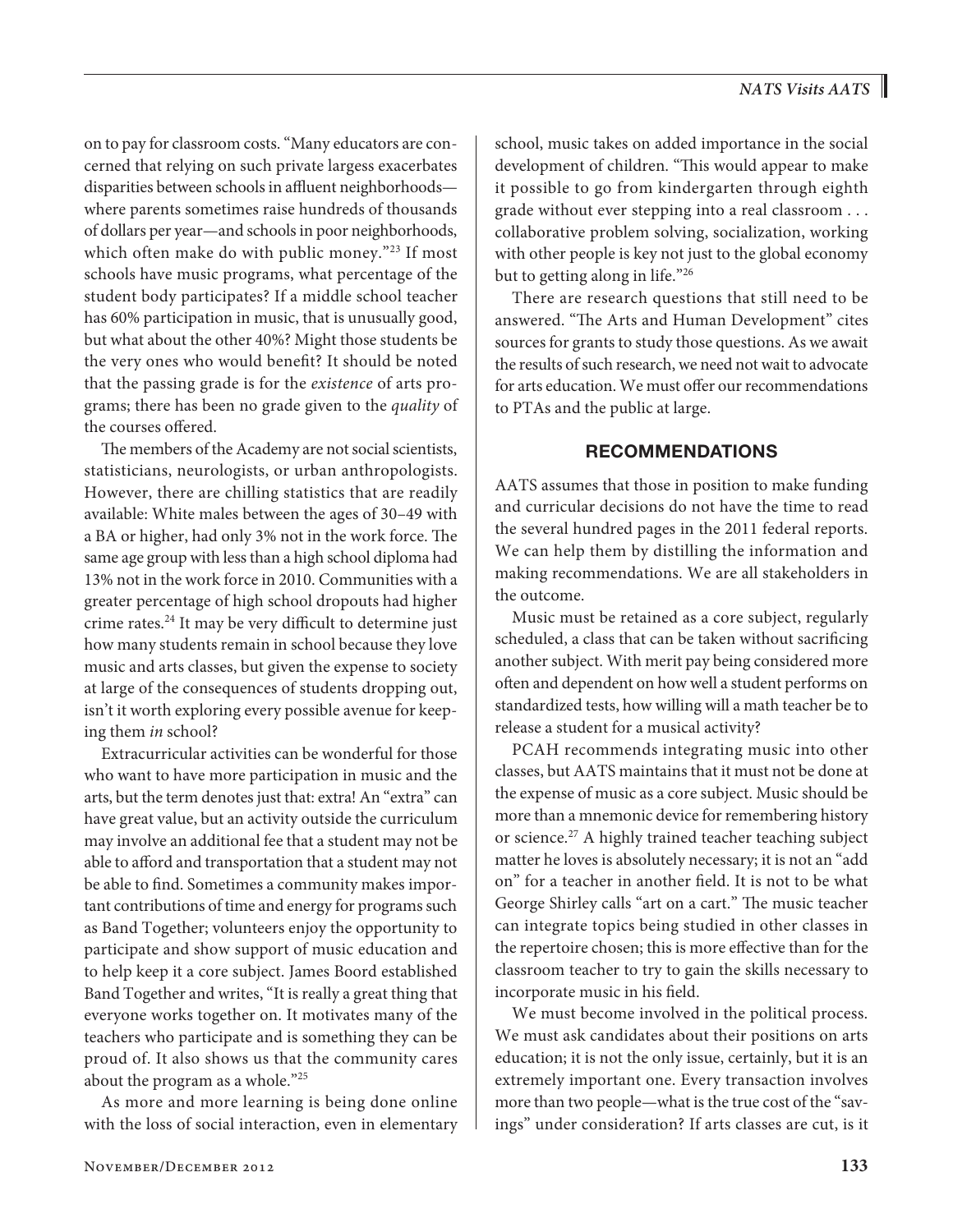on to pay for classroom costs. "Many educators are concerned that relying on such private largess exacerbates disparities between schools in affluent neighborhoods where parents sometimes raise hundreds of thousands of dollars per year—and schools in poor neighborhoods, which often make do with public money."<sup>23</sup> If most schools have music programs, what percentage of the student body participates? If a middle school teacher has 60% participation in music, that is unusually good, but what about the other 40%? Might those students be the very ones who would benefit? It should be noted that the passing grade is for the *existence* of arts programs; there has been no grade given to the *quality* of the courses offered.

The members of the Academy are not social scientists, statisticians, neurologists, or urban anthropologists. However, there are chilling statistics that are readily available: White males between the ages of 30–49 with a BA or higher, had only 3% not in the work force. The same age group with less than a high school diploma had 13% not in the work force in 2010. Communities with a greater percentage of high school dropouts had higher crime rates.<sup>24</sup> It may be very difficult to determine just how many students remain in school because they love music and arts classes, but given the expense to society at large of the consequences of students dropping out, isn't it worth exploring every possible avenue for keeping them *in* school?

Extracurricular activities can be wonderful for those who want to have more participation in music and the arts, but the term denotes just that: extra! An "extra" can have great value, but an activity outside the curriculum may involve an additional fee that a student may not be able to afford and transportation that a student may not be able to find. Sometimes a community makes important contributions of time and energy for programs such as Band Together; volunteers enjoy the opportunity to participate and show support of music education and to help keep it a core subject. James Boord established Band Together and writes, "It is really a great thing that everyone works together on. It motivates many of the teachers who participate and is something they can be proud of. It also shows us that the community cares about the program as a whole."25

As more and more learning is being done online with the loss of social interaction, even in elementary school, music takes on added importance in the social development of children. "This would appear to make it possible to go from kindergarten through eighth grade without ever stepping into a real classroom . . . collaborative problem solving, socialization, working with other people is key not just to the global economy but to getting along in life."26

There are research questions that still need to be answered. "The Arts and Human Development" cites sources for grants to study those questions. As we await the results of such research, we need not wait to advocate for arts education. We must offer our recommendations to PTAs and the public at large.

#### **RECOMMENDATIONS**

AATS assumes that those in position to make funding and curricular decisions do not have the time to read the several hundred pages in the 2011 federal reports. We can help them by distilling the information and making recommendations. We are all stakeholders in the outcome.

Music must be retained as a core subject, regularly scheduled, a class that can be taken without sacrificing another subject. With merit pay being considered more often and dependent on how well a student performs on standardized tests, how willing will a math teacher be to release a student for a musical activity?

PCAH recommends integrating music into other classes, but AATS maintains that it must not be done at the expense of music as a core subject. Music should be more than a mnemonic device for remembering history or science.<sup>27</sup> A highly trained teacher teaching subject matter he loves is absolutely necessary; it is not an "add on" for a teacher in another field. It is not to be what George Shirley calls "art on a cart." The music teacher can integrate topics being studied in other classes in the repertoire chosen; this is more effective than for the classroom teacher to try to gain the skills necessary to incorporate music in his field.

We must become involved in the political process. We must ask candidates about their positions on arts education; it is not the only issue, certainly, but it is an extremely important one. Every transaction involves more than two people—what is the true cost of the "savings" under consideration? If arts classes are cut, is it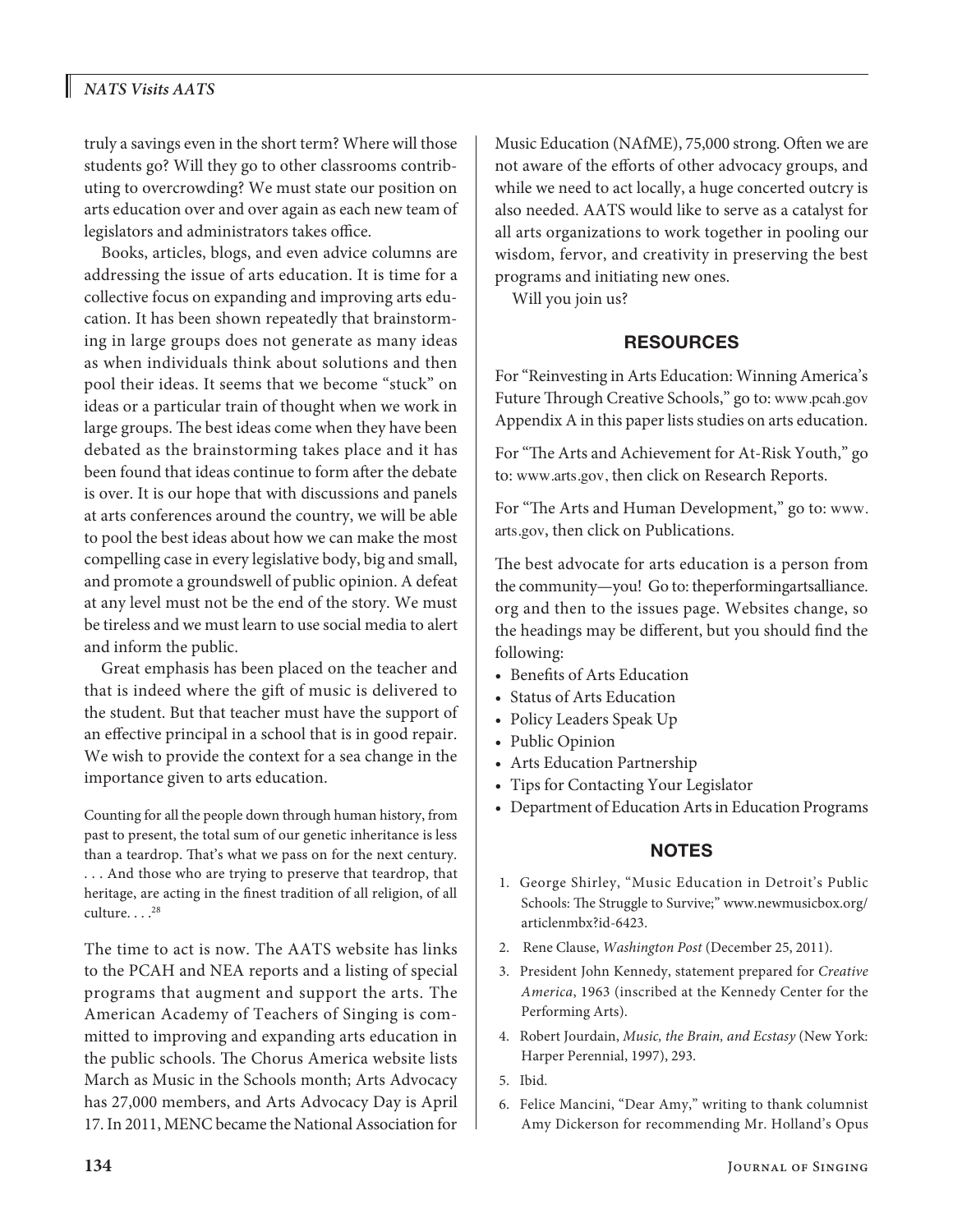# *NATS Visits AATS*

truly a savings even in the short term? Where will those students go? Will they go to other classrooms contributing to overcrowding? We must state our position on arts education over and over again as each new team of legislators and administrators takes office.

Books, articles, blogs, and even advice columns are addressing the issue of arts education. It is time for a collective focus on expanding and improving arts education. It has been shown repeatedly that brainstorming in large groups does not generate as many ideas as when individuals think about solutions and then pool their ideas. It seems that we become "stuck" on ideas or a particular train of thought when we work in large groups. The best ideas come when they have been debated as the brainstorming takes place and it has been found that ideas continue to form after the debate is over. It is our hope that with discussions and panels at arts conferences around the country, we will be able to pool the best ideas about how we can make the most compelling case in every legislative body, big and small, and promote a groundswell of public opinion. A defeat at any level must not be the end of the story. We must be tireless and we must learn to use social media to alert and inform the public.

Great emphasis has been placed on the teacher and that is indeed where the gift of music is delivered to the student. But that teacher must have the support of an effective principal in a school that is in good repair. We wish to provide the context for a sea change in the importance given to arts education.

Counting for all the people down through human history, from past to present, the total sum of our genetic inheritance is less than a teardrop. That's what we pass on for the next century. . . . And those who are trying to preserve that teardrop, that heritage, are acting in the finest tradition of all religion, of all culture... $^{28}$ 

The time to act is now. The AATS website has links to the PCAH and NEA reports and a listing of special programs that augment and support the arts. The American Academy of Teachers of Singing is committed to improving and expanding arts education in the public schools. The Chorus America website lists March as Music in the Schools month; Arts Advocacy has 27,000 members, and Arts Advocacy Day is April 17. In 2011, MENC became the National Association for Music Education (NAfME), 75,000 strong. Often we are not aware of the efforts of other advocacy groups, and while we need to act locally, a huge concerted outcry is also needed. AATS would like to serve as a catalyst for all arts organizations to work together in pooling our wisdom, fervor, and creativity in preserving the best programs and initiating new ones.

Will you join us?

#### **RESOURCES**

For "Reinvesting in Arts Education: Winning America's Future Through Creative Schools," go to: www.pcah.gov Appendix A in this paper lists studies on arts education.

For "The Arts and Achievement for At-Risk Youth," go to: www.arts.gov, then click on Research Reports.

For "The Arts and Human Development," go to: www. arts.gov, then click on Publications.

The best advocate for arts education is a person from the community—you! Go to: theperformingartsalliance. org and then to the issues page. Websites change, so the headings may be different, but you should find the following:

- Benefits of Arts Education
- Status of Arts Education
- Policy Leaders Speak Up
- Public Opinion
- • Arts Education Partnership
- • Tips for Contacting Your Legislator
- • Department of Education Arts in Education Programs

#### **NOTES**

- 1. George Shirley, "Music Education in Detroit's Public Schools: The Struggle to Survive;" www.newmusicbox.org/ articlenmbx?id-6423.
- 2. Rene Clause, *Washington Post* (December 25, 2011).
- 3. President John Kennedy, statement prepared for *Creative America*, 1963 (inscribed at the Kennedy Center for the Performing Arts).
- 4. Robert Jourdain, *Music, the Brain, and Ecstasy* (New York: Harper Perennial, 1997), 293.
- 5. Ibid.
- 6. Felice Mancini, "Dear Amy," writing to thank columnist Amy Dickerson for recommending Mr. Holland's Opus